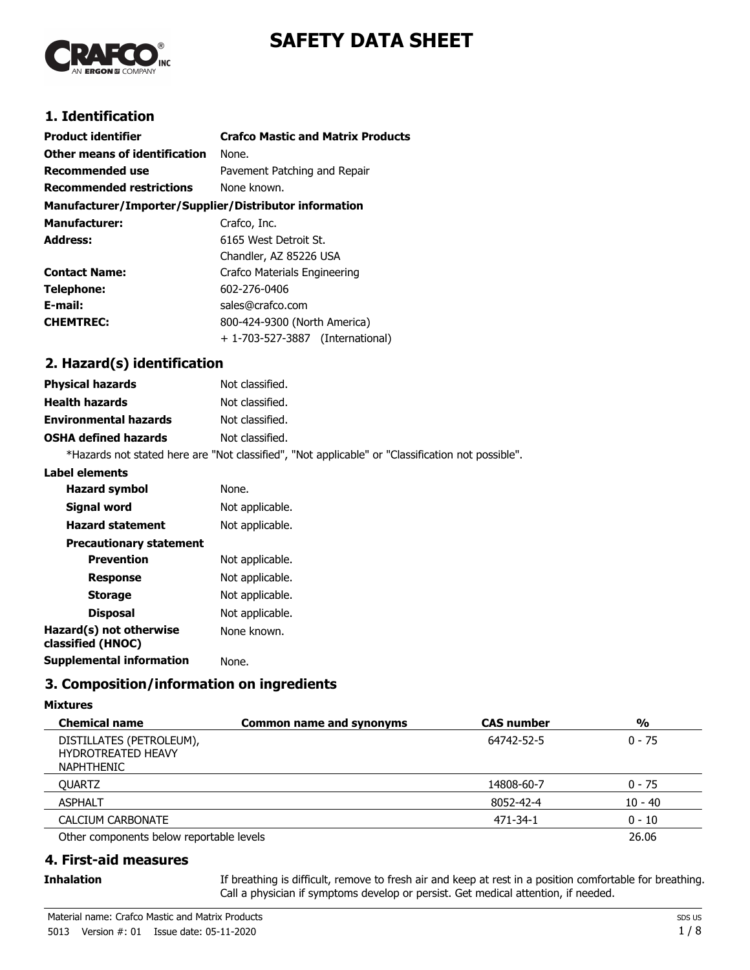



# **1. Identification**

| <b>Product identifier</b>                              | <b>Crafco Mastic and Matrix Products</b> |  |  |
|--------------------------------------------------------|------------------------------------------|--|--|
| Other means of identification                          | None.                                    |  |  |
| <b>Recommended use</b>                                 | Pavement Patching and Repair             |  |  |
| <b>Recommended restrictions</b>                        | None known.                              |  |  |
| Manufacturer/Importer/Supplier/Distributor information |                                          |  |  |
| <b>Manufacturer:</b>                                   | Crafco, Inc.                             |  |  |
| <b>Address:</b>                                        | 6165 West Detroit St.                    |  |  |
|                                                        | Chandler, AZ 85226 USA                   |  |  |
| <b>Contact Name:</b>                                   | Crafco Materials Engineering             |  |  |
| Telephone:                                             | 602-276-0406                             |  |  |
| E-mail:                                                | sales@crafco.com                         |  |  |
| <b>CHEMTREC:</b>                                       | 800-424-9300 (North America)             |  |  |
|                                                        | + 1-703-527-3887 (International)         |  |  |

# **2. Hazard(s) identification**

| <b>Physical hazards</b>      | Not classified.                                                                                   |
|------------------------------|---------------------------------------------------------------------------------------------------|
| <b>Health hazards</b>        | Not classified.                                                                                   |
| <b>Environmental hazards</b> | Not classified.                                                                                   |
| <b>OSHA defined hazards</b>  | Not classified.                                                                                   |
|                              | *Hazards not stated here are "Not classified", "Not applicable" or "Classification not possible". |

#### **Label elements**

| <b>Hazard symbol</b>                         | None.           |
|----------------------------------------------|-----------------|
| Signal word                                  | Not applicable. |
| <b>Hazard statement</b>                      | Not applicable. |
| <b>Precautionary statement</b>               |                 |
| <b>Prevention</b>                            | Not applicable. |
| <b>Response</b>                              | Not applicable. |
| <b>Storage</b>                               | Not applicable. |
| <b>Disposal</b>                              | Not applicable. |
| Hazard(s) not otherwise<br>classified (HNOC) | None known.     |
| Supplemental information                     | None.           |
|                                              |                 |

# **3. Composition/information on ingredients**

#### **Mixtures**

| <b>Chemical name</b>                                                | <b>Common name and synonyms</b> | <b>CAS number</b> | $\frac{0}{0}$ |
|---------------------------------------------------------------------|---------------------------------|-------------------|---------------|
| DISTILLATES (PETROLEUM),<br><b>HYDROTREATED HEAVY</b><br>NAPHTHENIC |                                 | 64742-52-5        | $0 - 75$      |
| <b>OUARTZ</b>                                                       |                                 | 14808-60-7        | $0 - 75$      |
| <b>ASPHALT</b>                                                      |                                 | 8052-42-4         | $10 - 40$     |
| CALCIUM CARBONATE                                                   |                                 | 471-34-1          | $0 - 10$      |
| Other components below reportable levels                            |                                 |                   | 26.06         |

- **4. First-aid measures**
- **Inhalation**

If breathing is difficult, remove to fresh air and keep at rest in a position comfortable for breathing. Call a physician if symptoms develop or persist. Get medical attention, if needed.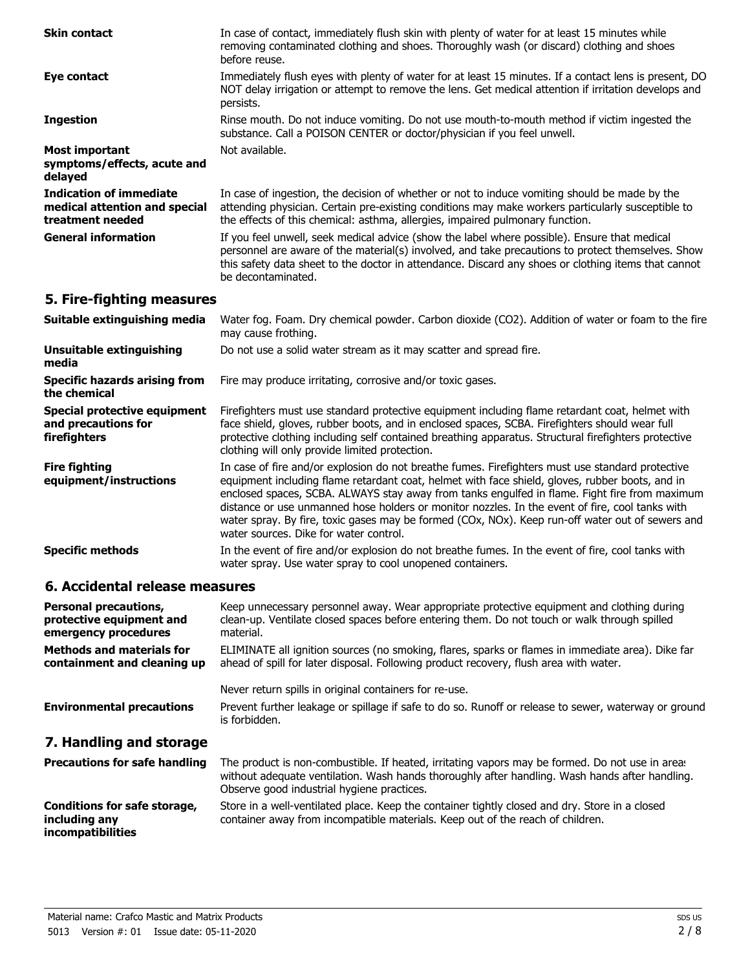| <b>Skin contact</b>                                                                 | In case of contact, immediately flush skin with plenty of water for at least 15 minutes while<br>removing contaminated clothing and shoes. Thoroughly wash (or discard) clothing and shoes<br>before reuse.                                                                                                                                                                                                                                                                                                                                           |
|-------------------------------------------------------------------------------------|-------------------------------------------------------------------------------------------------------------------------------------------------------------------------------------------------------------------------------------------------------------------------------------------------------------------------------------------------------------------------------------------------------------------------------------------------------------------------------------------------------------------------------------------------------|
| Eye contact                                                                         | Immediately flush eyes with plenty of water for at least 15 minutes. If a contact lens is present, DO<br>NOT delay irrigation or attempt to remove the lens. Get medical attention if irritation develops and<br>persists.                                                                                                                                                                                                                                                                                                                            |
| <b>Ingestion</b>                                                                    | Rinse mouth. Do not induce vomiting. Do not use mouth-to-mouth method if victim ingested the<br>substance. Call a POISON CENTER or doctor/physician if you feel unwell.                                                                                                                                                                                                                                                                                                                                                                               |
| <b>Most important</b><br>symptoms/effects, acute and<br>delayed                     | Not available.                                                                                                                                                                                                                                                                                                                                                                                                                                                                                                                                        |
| <b>Indication of immediate</b><br>medical attention and special<br>treatment needed | In case of ingestion, the decision of whether or not to induce vomiting should be made by the<br>attending physician. Certain pre-existing conditions may make workers particularly susceptible to<br>the effects of this chemical: asthma, allergies, impaired pulmonary function.                                                                                                                                                                                                                                                                   |
| <b>General information</b>                                                          | If you feel unwell, seek medical advice (show the label where possible). Ensure that medical<br>personnel are aware of the material(s) involved, and take precautions to protect themselves. Show<br>this safety data sheet to the doctor in attendance. Discard any shoes or clothing items that cannot<br>be decontaminated.                                                                                                                                                                                                                        |
| 5. Fire-fighting measures                                                           |                                                                                                                                                                                                                                                                                                                                                                                                                                                                                                                                                       |
| Suitable extinguishing media                                                        | Water fog. Foam. Dry chemical powder. Carbon dioxide (CO2). Addition of water or foam to the fire<br>may cause frothing.                                                                                                                                                                                                                                                                                                                                                                                                                              |
| <b>Unsuitable extinguishing</b><br>media                                            | Do not use a solid water stream as it may scatter and spread fire.                                                                                                                                                                                                                                                                                                                                                                                                                                                                                    |
| <b>Specific hazards arising from</b><br>the chemical                                | Fire may produce irritating, corrosive and/or toxic gases.                                                                                                                                                                                                                                                                                                                                                                                                                                                                                            |
| Special protective equipment<br>and precautions for<br>firefighters                 | Firefighters must use standard protective equipment including flame retardant coat, helmet with<br>face shield, gloves, rubber boots, and in enclosed spaces, SCBA. Firefighters should wear full<br>protective clothing including self contained breathing apparatus. Structural firefighters protective<br>clothing will only provide limited protection.                                                                                                                                                                                           |
| <b>Fire fighting</b><br>equipment/instructions                                      | In case of fire and/or explosion do not breathe fumes. Firefighters must use standard protective<br>equipment including flame retardant coat, helmet with face shield, gloves, rubber boots, and in<br>enclosed spaces, SCBA. ALWAYS stay away from tanks engulfed in flame. Fight fire from maximum<br>distance or use unmanned hose holders or monitor nozzles. In the event of fire, cool tanks with<br>water spray. By fire, toxic gases may be formed (COx, NOx). Keep run-off water out of sewers and<br>water sources. Dike for water control. |
| <b>Specific methods</b>                                                             | In the event of fire and/or explosion do not breathe fumes. In the event of fire, cool tanks with                                                                                                                                                                                                                                                                                                                                                                                                                                                     |

## **6. Accidental release measures**

| <b>Personal precautions,</b><br>protective equipment and<br>emergency procedures | Keep unnecessary personnel away. Wear appropriate protective equipment and clothing during<br>clean-up. Ventilate closed spaces before entering them. Do not touch or walk through spilled<br>material. |
|----------------------------------------------------------------------------------|---------------------------------------------------------------------------------------------------------------------------------------------------------------------------------------------------------|
| <b>Methods and materials for</b><br>containment and cleaning up                  | ELIMINATE all ignition sources (no smoking, flares, sparks or flames in immediate area). Dike far<br>ahead of spill for later disposal. Following product recovery, flush area with water.              |
|                                                                                  | Never return spills in original containers for re-use.                                                                                                                                                  |
| <b>Environmental precautions</b>                                                 | Prevent further leakage or spillage if safe to do so. Runoff or release to sewer, waterway or ground<br>is forbidden.                                                                                   |
| 7. Handling and storage                                                          |                                                                                                                                                                                                         |

water spray. Use water spray to cool unopened containers.

The product is non-combustible. If heated, irritating vapors may be formed. Do not use in areas without adequate ventilation. Wash hands thoroughly after handling. Wash hands after handling. Observe good industrial hygiene practices. **Precautions for safe handling** Store in a well-ventilated place. Keep the container tightly closed and dry. Store in a closed container away from incompatible materials. Keep out of the reach of children. **Conditions for safe storage, including any**

**incompatibilities**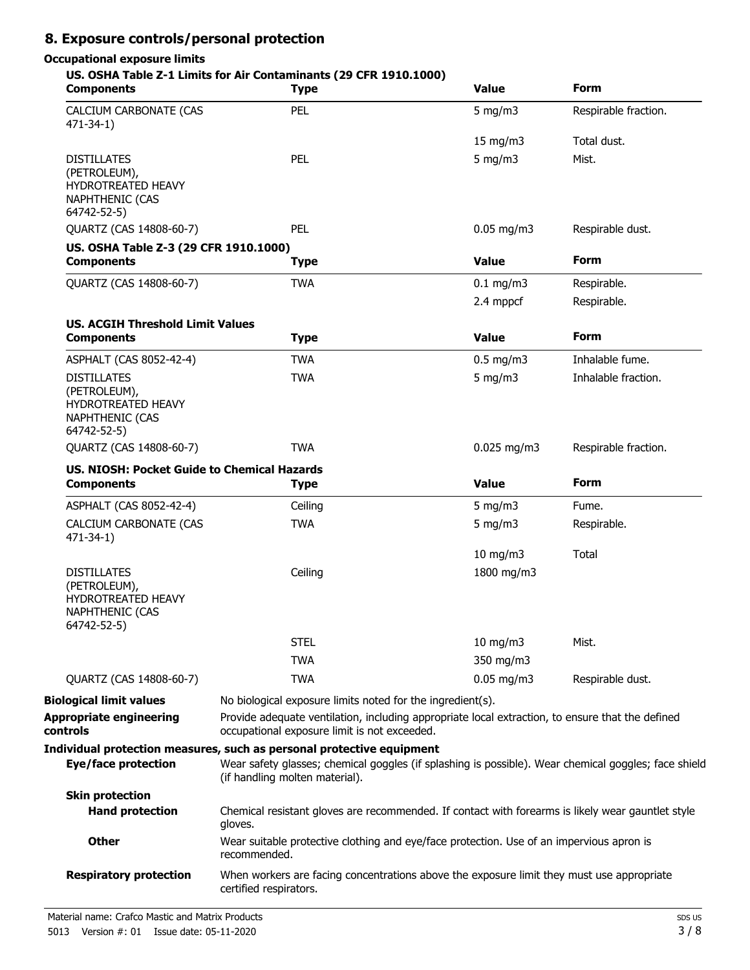# **8. Exposure controls/personal protection**

# **Occupational exposure limits**

#### **US. OSHA Table Z-1 Limits for Air Contaminants (29 CFR 1910.1000)**

| <b>Components</b>                                                                                        | <b>Type</b>                                                                                                                                                                                                     | <b>Value</b>  | <b>Form</b>          |
|----------------------------------------------------------------------------------------------------------|-----------------------------------------------------------------------------------------------------------------------------------------------------------------------------------------------------------------|---------------|----------------------|
| CALCIUM CARBONATE (CAS<br>$471 - 34 - 1$                                                                 | PEL                                                                                                                                                                                                             | $5$ mg/m $3$  | Respirable fraction. |
|                                                                                                          |                                                                                                                                                                                                                 | 15 mg/m3      | Total dust.          |
| <b>DISTILLATES</b><br>(PETROLEUM),<br><b>HYDROTREATED HEAVY</b><br><b>NAPHTHENIC (CAS</b><br>64742-52-5) | PEL                                                                                                                                                                                                             | $5$ mg/m $3$  | Mist.                |
| QUARTZ (CAS 14808-60-7)                                                                                  | PEL                                                                                                                                                                                                             | $0.05$ mg/m3  | Respirable dust.     |
| US. OSHA Table Z-3 (29 CFR 1910.1000)                                                                    |                                                                                                                                                                                                                 |               |                      |
| <b>Components</b>                                                                                        | <b>Type</b>                                                                                                                                                                                                     | <b>Value</b>  | <b>Form</b>          |
| QUARTZ (CAS 14808-60-7)                                                                                  | <b>TWA</b>                                                                                                                                                                                                      | $0.1$ mg/m3   | Respirable.          |
|                                                                                                          |                                                                                                                                                                                                                 | 2.4 mppcf     | Respirable.          |
| <b>US. ACGIH Threshold Limit Values</b>                                                                  |                                                                                                                                                                                                                 |               |                      |
| <b>Components</b>                                                                                        | <b>Type</b>                                                                                                                                                                                                     | <b>Value</b>  | <b>Form</b>          |
| ASPHALT (CAS 8052-42-4)                                                                                  | <b>TWA</b>                                                                                                                                                                                                      | $0.5$ mg/m3   | Inhalable fume.      |
| <b>DISTILLATES</b><br>(PETROLEUM),<br><b>HYDROTREATED HEAVY</b><br><b>NAPHTHENIC (CAS</b><br>64742-52-5) | <b>TWA</b>                                                                                                                                                                                                      | $5$ mg/m $3$  | Inhalable fraction.  |
| QUARTZ (CAS 14808-60-7)                                                                                  | <b>TWA</b>                                                                                                                                                                                                      | $0.025$ mg/m3 | Respirable fraction. |
| <b>US. NIOSH: Pocket Guide to Chemical Hazards</b><br><b>Components</b>                                  | <b>Type</b>                                                                                                                                                                                                     | <b>Value</b>  | <b>Form</b>          |
| ASPHALT (CAS 8052-42-4)                                                                                  | Ceiling                                                                                                                                                                                                         | 5 mg/m $3$    | Fume.                |
| CALCIUM CARBONATE (CAS<br>$471 - 34 - 1$                                                                 | <b>TWA</b>                                                                                                                                                                                                      | 5 mg/m $3$    | Respirable.          |
|                                                                                                          |                                                                                                                                                                                                                 | 10 mg/m3      | Total                |
| <b>DISTILLATES</b><br>(PETROLEUM),<br>HYDROTREATED HEAVY<br><b>NAPHTHENIC (CAS</b><br>64742-52-5)        | Ceiling                                                                                                                                                                                                         | 1800 mg/m3    |                      |
|                                                                                                          | <b>STEL</b>                                                                                                                                                                                                     | 10 mg/m3      | Mist.                |
|                                                                                                          | <b>TWA</b>                                                                                                                                                                                                      | 350 mg/m3     |                      |
| QUARTZ (CAS 14808-60-7)                                                                                  | <b>TWA</b>                                                                                                                                                                                                      | $0.05$ mg/m3  | Respirable dust.     |
| <b>Biological limit values</b>                                                                           | No biological exposure limits noted for the ingredient(s).                                                                                                                                                      |               |                      |
| <b>Appropriate engineering</b><br>controls                                                               | Provide adequate ventilation, including appropriate local extraction, to ensure that the defined<br>occupational exposure limit is not exceeded.                                                                |               |                      |
| <b>Eye/face protection</b>                                                                               | Individual protection measures, such as personal protective equipment<br>Wear safety glasses; chemical goggles (if splashing is possible). Wear chemical goggles; face shield<br>(if handling molten material). |               |                      |
| <b>Skin protection</b>                                                                                   |                                                                                                                                                                                                                 |               |                      |
| <b>Hand protection</b>                                                                                   | Chemical resistant gloves are recommended. If contact with forearms is likely wear gauntlet style<br>gloves.                                                                                                    |               |                      |
| <b>Other</b>                                                                                             | Wear suitable protective clothing and eye/face protection. Use of an impervious apron is<br>recommended.                                                                                                        |               |                      |
| <b>Respiratory protection</b>                                                                            | When workers are facing concentrations above the exposure limit they must use appropriate<br>certified respirators.                                                                                             |               |                      |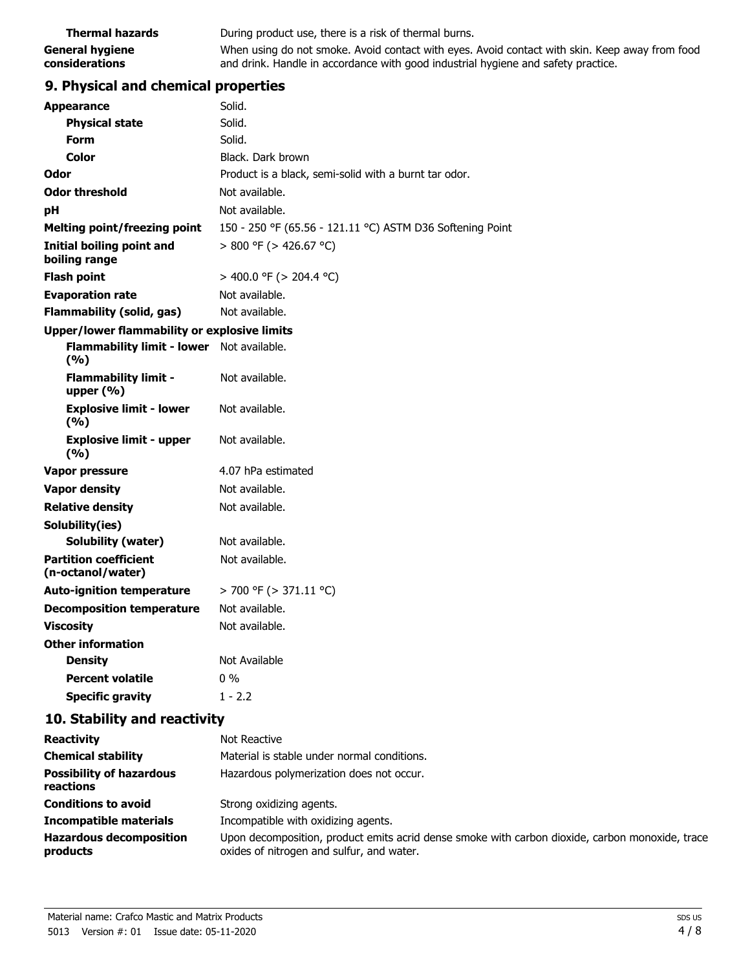| <b>Thermal hazards</b> | During product use, there is a risk of thermal burns.                                          |  |
|------------------------|------------------------------------------------------------------------------------------------|--|
| <b>General hygiene</b> | When using do not smoke. Avoid contact with eyes. Avoid contact with skin. Keep away from food |  |
| considerations         | and drink. Handle in accordance with good industrial hygiene and safety practice.              |  |

# **9. Physical and chemical properties**

|    | <b>Appearance</b>                                 | Solid.                                                    |
|----|---------------------------------------------------|-----------------------------------------------------------|
|    | <b>Physical state</b>                             | Solid.                                                    |
|    | Form                                              | Solid.                                                    |
|    | <b>Color</b>                                      | Black. Dark brown                                         |
|    | Odor                                              | Product is a black, semi-solid with a burnt tar odor.     |
|    | <b>Odor threshold</b>                             | Not available.                                            |
| рH |                                                   | Not available.                                            |
|    | <b>Melting point/freezing point</b>               | 150 - 250 °F (65.56 - 121.11 °C) ASTM D36 Softening Point |
|    | Initial boiling point and<br>boiling range        | $> 800$ °F ( $> 426.67$ °C)                               |
|    | <b>Flash point</b>                                | > 400.0 °F (> 204.4 °C)                                   |
|    | <b>Evaporation rate</b>                           | Not available.                                            |
|    | <b>Flammability (solid, gas)</b>                  | Not available.                                            |
|    | Upper/lower flammability or explosive limits      |                                                           |
|    | <b>Flammability limit - lower</b><br>(%)          | Not available.                                            |
|    | <b>Flammability limit -</b><br>upper $(% )$       | Not available.                                            |
|    | <b>Explosive limit - lower</b><br>(9/6)           | Not available.                                            |
|    | <b>Explosive limit - upper</b><br>(%)             | Not available.                                            |
|    | Vapor pressure                                    | 4.07 hPa estimated                                        |
|    | <b>Vapor density</b>                              | Not available.                                            |
|    | <b>Relative density</b>                           | Not available.                                            |
|    | Solubility(ies)                                   |                                                           |
|    | <b>Solubility (water)</b>                         | Not available.                                            |
|    | <b>Partition coefficient</b><br>(n-octanol/water) | Not available.                                            |
|    | <b>Auto-ignition temperature</b>                  | $>$ 700 °F ( $>$ 371.11 °C)                               |
|    | <b>Decomposition temperature</b>                  | Not available.                                            |
|    | <b>Viscosity</b>                                  | Not available.                                            |
|    | <b>Other information</b>                          |                                                           |
|    | <b>Density</b>                                    | Not Available                                             |
|    | <b>Percent volatile</b>                           | $0\%$                                                     |
|    | <b>Specific gravity</b>                           | $1 - 2.2$                                                 |
|    |                                                   |                                                           |

# **10. Stability and reactivity**

| <b>Reactivity</b>                            | Not Reactive                                                                                                                                 |  |  |
|----------------------------------------------|----------------------------------------------------------------------------------------------------------------------------------------------|--|--|
| <b>Chemical stability</b>                    | Material is stable under normal conditions.                                                                                                  |  |  |
| <b>Possibility of hazardous</b><br>reactions | Hazardous polymerization does not occur.                                                                                                     |  |  |
| <b>Conditions to avoid</b>                   | Strong oxidizing agents.                                                                                                                     |  |  |
| <b>Incompatible materials</b>                | Incompatible with oxidizing agents.                                                                                                          |  |  |
| <b>Hazardous decomposition</b><br>products   | Upon decomposition, product emits acrid dense smoke with carbon dioxide, carbon monoxide, trace<br>oxides of nitrogen and sulfur, and water. |  |  |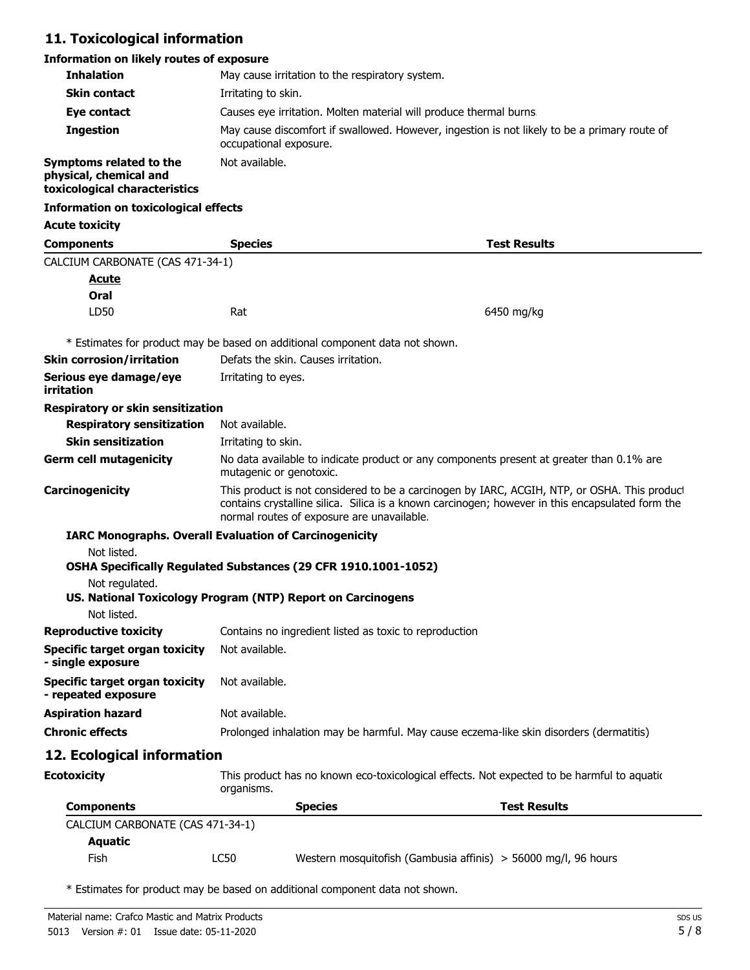# **11. Toxicological information**

# **Information on likely routes of exposure**

| <b>Inhalation</b>                                                                  | May cause irritation to the respiratory system.                                                                                                                                                                                                |                                                        |                                                                                             |  |
|------------------------------------------------------------------------------------|------------------------------------------------------------------------------------------------------------------------------------------------------------------------------------------------------------------------------------------------|--------------------------------------------------------|---------------------------------------------------------------------------------------------|--|
| <b>Skin contact</b>                                                                | Irritating to skin.                                                                                                                                                                                                                            |                                                        |                                                                                             |  |
| Eye contact                                                                        | Causes eye irritation. Molten material will produce thermal burns.                                                                                                                                                                             |                                                        |                                                                                             |  |
| <b>Ingestion</b>                                                                   | May cause discomfort if swallowed. However, ingestion is not likely to be a primary route of<br>occupational exposure.                                                                                                                         |                                                        |                                                                                             |  |
| Symptoms related to the<br>physical, chemical and<br>toxicological characteristics | Not available.                                                                                                                                                                                                                                 |                                                        |                                                                                             |  |
| <b>Information on toxicological effects</b>                                        |                                                                                                                                                                                                                                                |                                                        |                                                                                             |  |
| <b>Acute toxicity</b>                                                              |                                                                                                                                                                                                                                                |                                                        |                                                                                             |  |
| <b>Components</b>                                                                  | <b>Species</b>                                                                                                                                                                                                                                 |                                                        | <b>Test Results</b>                                                                         |  |
| CALCIUM CARBONATE (CAS 471-34-1)                                                   |                                                                                                                                                                                                                                                |                                                        |                                                                                             |  |
| <u>Acute</u>                                                                       |                                                                                                                                                                                                                                                |                                                        |                                                                                             |  |
| Oral                                                                               |                                                                                                                                                                                                                                                |                                                        |                                                                                             |  |
| LD50                                                                               | Rat                                                                                                                                                                                                                                            |                                                        | 6450 mg/kg                                                                                  |  |
| * Estimates for product may be based on additional component data not shown.       |                                                                                                                                                                                                                                                |                                                        |                                                                                             |  |
| <b>Skin corrosion/irritation</b>                                                   |                                                                                                                                                                                                                                                | Defats the skin. Causes irritation.                    |                                                                                             |  |
| Serious eye damage/eye<br>irritation                                               | Irritating to eyes.                                                                                                                                                                                                                            |                                                        |                                                                                             |  |
| <b>Respiratory or skin sensitization</b>                                           |                                                                                                                                                                                                                                                |                                                        |                                                                                             |  |
| <b>Respiratory sensitization</b>                                                   | Not available.                                                                                                                                                                                                                                 |                                                        |                                                                                             |  |
| <b>Skin sensitization</b>                                                          | Irritating to skin.                                                                                                                                                                                                                            |                                                        |                                                                                             |  |
| <b>Germ cell mutagenicity</b>                                                      | No data available to indicate product or any components present at greater than 0.1% are<br>mutagenic or genotoxic.                                                                                                                            |                                                        |                                                                                             |  |
| Carcinogenicity                                                                    | This product is not considered to be a carcinogen by IARC, ACGIH, NTP, or OSHA. This product<br>contains crystalline silica. Silica is a known carcinogen; however in this encapsulated form the<br>normal routes of exposure are unavailable. |                                                        |                                                                                             |  |
| <b>IARC Monographs. Overall Evaluation of Carcinogenicity</b>                      |                                                                                                                                                                                                                                                |                                                        |                                                                                             |  |
| Not listed.<br>OSHA Specifically Regulated Substances (29 CFR 1910.1001-1052)      |                                                                                                                                                                                                                                                |                                                        |                                                                                             |  |
| Not regulated.<br>US. National Toxicology Program (NTP) Report on Carcinogens      |                                                                                                                                                                                                                                                |                                                        |                                                                                             |  |
| Not listed.                                                                        |                                                                                                                                                                                                                                                |                                                        |                                                                                             |  |
| <b>Reproductive toxicity</b>                                                       |                                                                                                                                                                                                                                                | Contains no ingredient listed as toxic to reproduction |                                                                                             |  |
| <b>Specific target organ toxicity</b><br>- single exposure                         | Not available.                                                                                                                                                                                                                                 |                                                        |                                                                                             |  |
| <b>Specific target organ toxicity</b><br>- repeated exposure                       | Not available.                                                                                                                                                                                                                                 |                                                        |                                                                                             |  |
| <b>Aspiration hazard</b>                                                           | Not available.                                                                                                                                                                                                                                 |                                                        |                                                                                             |  |
| <b>Chronic effects</b>                                                             | Prolonged inhalation may be harmful. May cause eczema-like skin disorders (dermatitis)                                                                                                                                                         |                                                        |                                                                                             |  |
| 12. Ecological information                                                         |                                                                                                                                                                                                                                                |                                                        |                                                                                             |  |
| <b>Ecotoxicity</b>                                                                 | organisms.                                                                                                                                                                                                                                     |                                                        | This product has no known eco-toxicological effects. Not expected to be harmful to aquation |  |
| <b>Components</b>                                                                  |                                                                                                                                                                                                                                                | <b>Species</b>                                         | <b>Test Results</b>                                                                         |  |
| CALCIUM CARBONATE (CAS 471-34-1)                                                   |                                                                                                                                                                                                                                                |                                                        |                                                                                             |  |
| <b>Aquatic</b>                                                                     |                                                                                                                                                                                                                                                |                                                        |                                                                                             |  |
| Fish                                                                               | <b>LC50</b>                                                                                                                                                                                                                                    |                                                        | Western mosquitofish (Gambusia affinis) > 56000 mg/l, 96 hours                              |  |

\* Estimates for product may be based on additional component data not shown.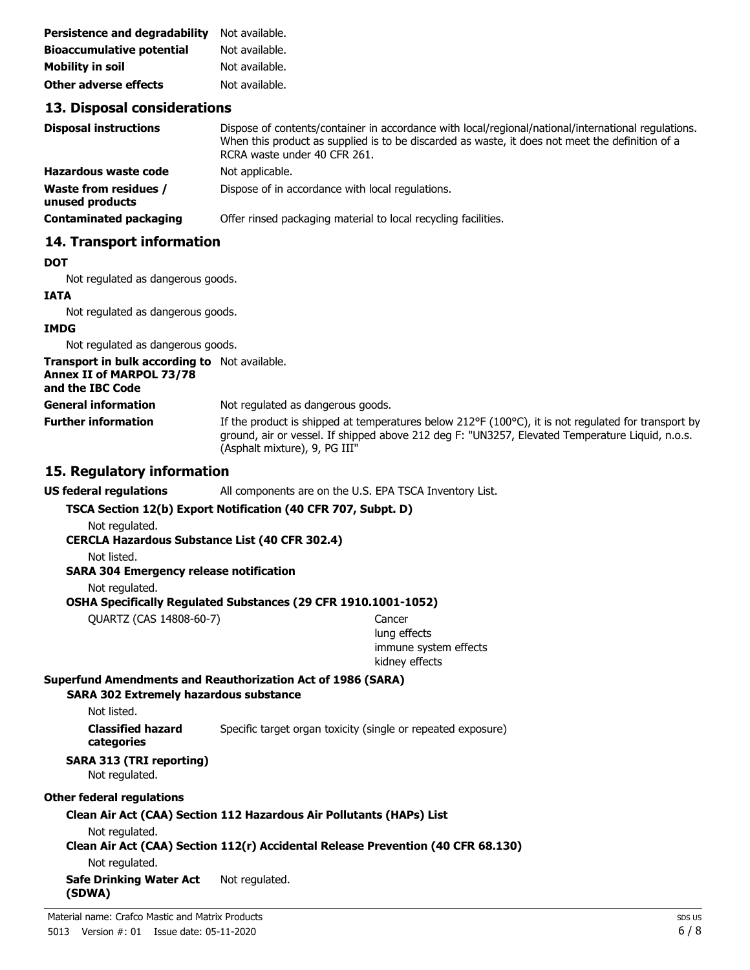| <b>Persistence and degradability</b> | Not available. |
|--------------------------------------|----------------|
| <b>Bioaccumulative potential</b>     | Not available. |
| <b>Mobility in soil</b>              | Not available. |
| <b>Other adverse effects</b>         | Not available. |

### **13. Disposal considerations**

| <b>Disposal instructions</b>                    | Dispose of contents/container in accordance with local/regional/national/international regulations.<br>When this product as supplied is to be discarded as waste, it does not meet the definition of a<br>RCRA waste under 40 CFR 261. |
|-------------------------------------------------|----------------------------------------------------------------------------------------------------------------------------------------------------------------------------------------------------------------------------------------|
| <b>Hazardous waste code</b>                     | Not applicable.                                                                                                                                                                                                                        |
| <b>Waste from residues /</b><br>unused products | Dispose of in accordance with local regulations.                                                                                                                                                                                       |
| <b>Contaminated packaging</b>                   | Offer rinsed packaging material to local recycling facilities.                                                                                                                                                                         |

## **14. Transport information**

#### **DOT**

Not regulated as dangerous goods.

#### **IATA**

Not regulated as dangerous goods.

#### **IMDG**

Not regulated as dangerous goods.

| <b>Transport in bulk according to</b> Not available.<br>Annex II of MARPOL 73/78<br>and the IBC Code |                                                                                                                                                                                                                                                         |
|------------------------------------------------------------------------------------------------------|---------------------------------------------------------------------------------------------------------------------------------------------------------------------------------------------------------------------------------------------------------|
| <b>General information</b>                                                                           | Not regulated as dangerous goods.                                                                                                                                                                                                                       |
| <b>Further information</b>                                                                           | If the product is shipped at temperatures below $212^{\circ}F(100^{\circ}C)$ , it is not regulated for transport by<br>ground, air or vessel. If shipped above 212 deg F: "UN3257, Elevated Temperature Liquid, n.o.s.<br>(Asphalt mixture), 9, PG III" |

### **15. Regulatory information**

**US federal regulations** All components are on the U.S. EPA TSCA Inventory List.

#### **TSCA Section 12(b) Export Notification (40 CFR 707, Subpt. D)**

Not regulated.

**CERCLA Hazardous Substance List (40 CFR 302.4)**

Not listed.

#### **SARA 304 Emergency release notification**

Not regulated.

#### **OSHA Specifically Regulated Substances (29 CFR 1910.1001-1052)**

QUARTZ (CAS 14808-60-7) Cancer

lung effects immune system effects kidney effects

#### **Superfund Amendments and Reauthorization Act of 1986 (SARA)**

**SARA 302 Extremely hazardous substance**

Not listed.

**Classified hazard** Specific target organ toxicity (single or repeated exposure) **categories**

# **SARA 313 (TRI reporting)**

Not regulated.

#### **Other federal regulations**

# **Clean Air Act (CAA) Section 112 Hazardous Air Pollutants (HAPs) List**

Not regulated.

# **Clean Air Act (CAA) Section 112(r) Accidental Release Prevention (40 CFR 68.130)**

Not regulated.

#### **Safe Drinking Water Act** Not regulated. **(SDWA)**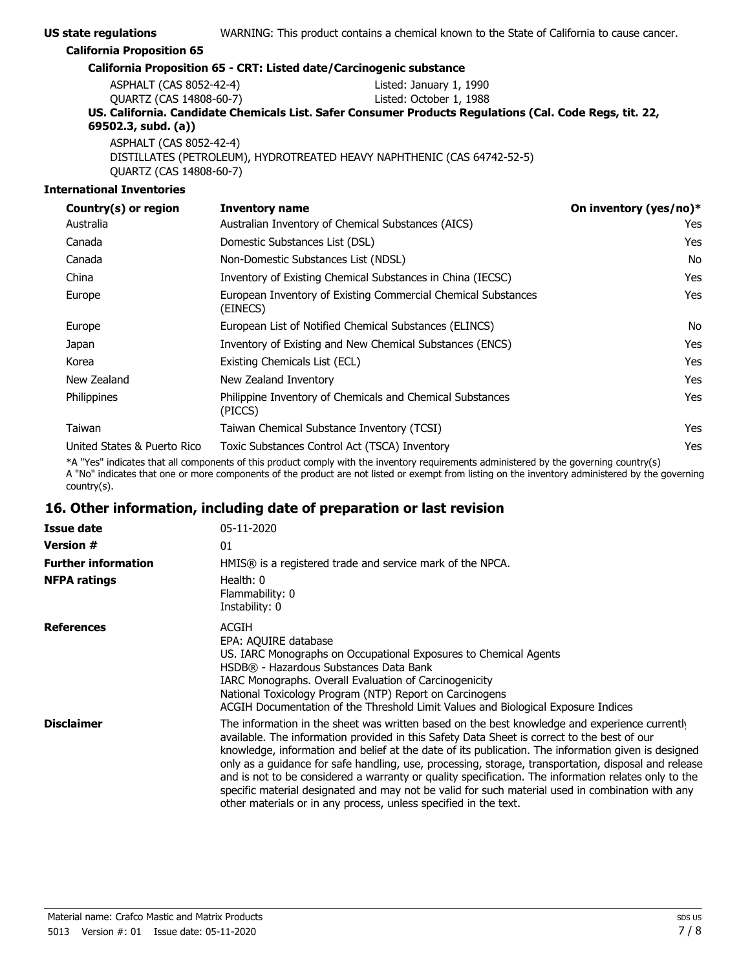| <b>US state regulations</b>      | WARNING: This product contains a chemical known to the State of California to cause cancer.             |
|----------------------------------|---------------------------------------------------------------------------------------------------------|
| <b>California Proposition 65</b> |                                                                                                         |
|                                  | California Proposition 65 - CRT: Listed date/Carcinogenic substance                                     |
| ASPHALT (CAS 8052-42-4)          | Listed: January 1, 1990                                                                                 |
| QUARTZ (CAS 14808-60-7)          | Listed: October 1, 1988                                                                                 |
|                                  | US. California. Candidate Chemicals List. Safer Consumer Products Regulations (Cal. Code Regs, tit. 22, |
| 69502.3, subd. (a))              |                                                                                                         |

ASPHALT (CAS 8052-42-4) DISTILLATES (PETROLEUM), HYDROTREATED HEAVY NAPHTHENIC (CAS 64742-52-5) QUARTZ (CAS 14808-60-7)

#### **International Inventories**

| Country(s) or region        | <b>Inventory name</b>                                                     | On inventory (yes/no)* |
|-----------------------------|---------------------------------------------------------------------------|------------------------|
| Australia                   | Australian Inventory of Chemical Substances (AICS)                        | Yes                    |
| Canada                      | Domestic Substances List (DSL)                                            | <b>Yes</b>             |
| Canada                      | Non-Domestic Substances List (NDSL)                                       | No                     |
| China                       | Inventory of Existing Chemical Substances in China (IECSC)                | <b>Yes</b>             |
| Europe                      | European Inventory of Existing Commercial Chemical Substances<br>(EINECS) | <b>Yes</b>             |
| Europe                      | European List of Notified Chemical Substances (ELINCS)                    | No                     |
| Japan                       | Inventory of Existing and New Chemical Substances (ENCS)                  | <b>Yes</b>             |
| Korea                       | Existing Chemicals List (ECL)                                             | <b>Yes</b>             |
| New Zealand                 | New Zealand Inventory                                                     | <b>Yes</b>             |
| Philippines                 | Philippine Inventory of Chemicals and Chemical Substances<br>(PICCS)      | <b>Yes</b>             |
| Taiwan                      | Taiwan Chemical Substance Inventory (TCSI)                                | <b>Yes</b>             |
| United States & Puerto Rico | Toxic Substances Control Act (TSCA) Inventory                             | Yes                    |

\*A "Yes" indicates that all components of this product comply with the inventory requirements administered by the governing country(s) A "No" indicates that one or more components of the product are not listed or exempt from listing on the inventory administered by the governing country(s).

# **16. Other information, including date of preparation or last revision**

| Issue date                 | 05-11-2020                                                                                                                                                                                                                                                                                                                                                                                                                                                                                                                                                                                                                                                                                  |
|----------------------------|---------------------------------------------------------------------------------------------------------------------------------------------------------------------------------------------------------------------------------------------------------------------------------------------------------------------------------------------------------------------------------------------------------------------------------------------------------------------------------------------------------------------------------------------------------------------------------------------------------------------------------------------------------------------------------------------|
| <b>Version #</b>           | 01                                                                                                                                                                                                                                                                                                                                                                                                                                                                                                                                                                                                                                                                                          |
| <b>Further information</b> | HMIS® is a registered trade and service mark of the NPCA.                                                                                                                                                                                                                                                                                                                                                                                                                                                                                                                                                                                                                                   |
| <b>NFPA ratings</b>        | Health: 0<br>Flammability: 0<br>Instability: 0                                                                                                                                                                                                                                                                                                                                                                                                                                                                                                                                                                                                                                              |
| <b>References</b>          | ACGIH<br>EPA: AQUIRE database<br>US. IARC Monographs on Occupational Exposures to Chemical Agents<br>HSDB® - Hazardous Substances Data Bank<br>IARC Monographs. Overall Evaluation of Carcinogenicity<br>National Toxicology Program (NTP) Report on Carcinogens<br>ACGIH Documentation of the Threshold Limit Values and Biological Exposure Indices                                                                                                                                                                                                                                                                                                                                       |
| <b>Disclaimer</b>          | The information in the sheet was written based on the best knowledge and experience currently<br>available. The information provided in this Safety Data Sheet is correct to the best of our<br>knowledge, information and belief at the date of its publication. The information given is designed<br>only as a quidance for safe handling, use, processing, storage, transportation, disposal and release<br>and is not to be considered a warranty or quality specification. The information relates only to the<br>specific material designated and may not be valid for such material used in combination with any<br>other materials or in any process, unless specified in the text. |